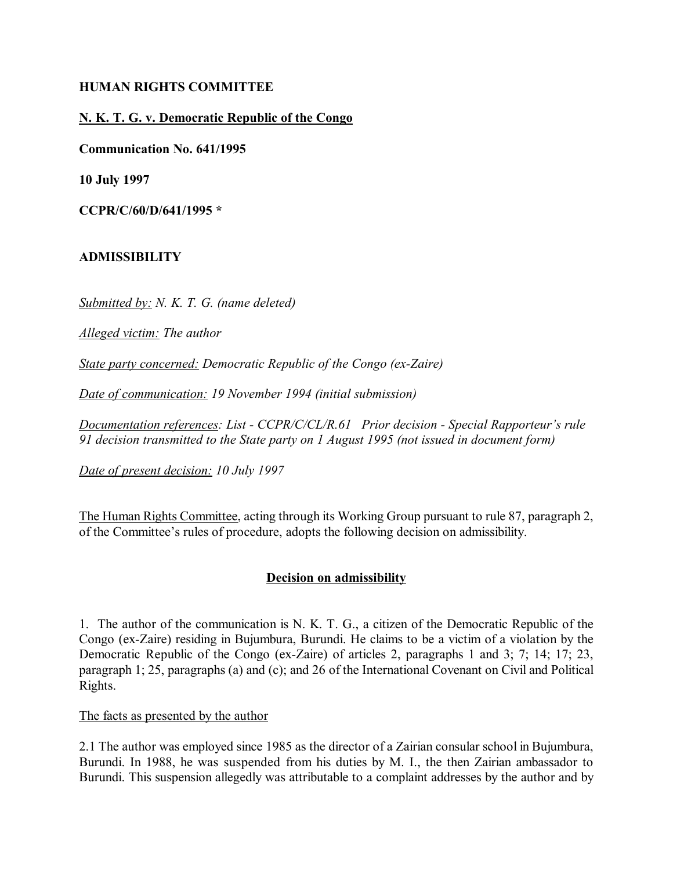### **HUMAN RIGHTS COMMITTEE**

# **N. K. T. G. v. Democratic Republic of the Congo**

**Communication No. 641/1995**

**10 July 1997**

**CCPR/C/60/D/641/1995 \***

## **ADMISSIBILITY**

*Submitted by: N. K. T. G. (name deleted)*

*Alleged victim: The author* 

*State party concerned: Democratic Republic of the Congo (ex-Zaire)*

*Date of communication: 19 November 1994 (initial submission)* 

*Documentation references: List - CCPR/C/CL/R.61 Prior decision - Special Rapporteur's rule 91 decision transmitted to the State party on 1 August 1995 (not issued in document form)*

*Date of present decision: 10 July 1997*

The Human Rights Committee, acting through its Working Group pursuant to rule 87, paragraph 2, of the Committee's rules of procedure, adopts the following decision on admissibility.

## **Decision on admissibility**

1. The author of the communication is N. K. T. G., a citizen of the Democratic Republic of the Congo (ex-Zaire) residing in Bujumbura, Burundi. He claims to be a victim of a violation by the Democratic Republic of the Congo (ex-Zaire) of articles 2, paragraphs 1 and 3; 7; 14; 17; 23, paragraph 1; 25, paragraphs (a) and (c); and 26 of the International Covenant on Civil and Political Rights.

The facts as presented by the author

2.1 The author was employed since 1985 as the director of a Zairian consular school in Bujumbura, Burundi. In 1988, he was suspended from his duties by M. I., the then Zairian ambassador to Burundi. This suspension allegedly was attributable to a complaint addresses by the author and by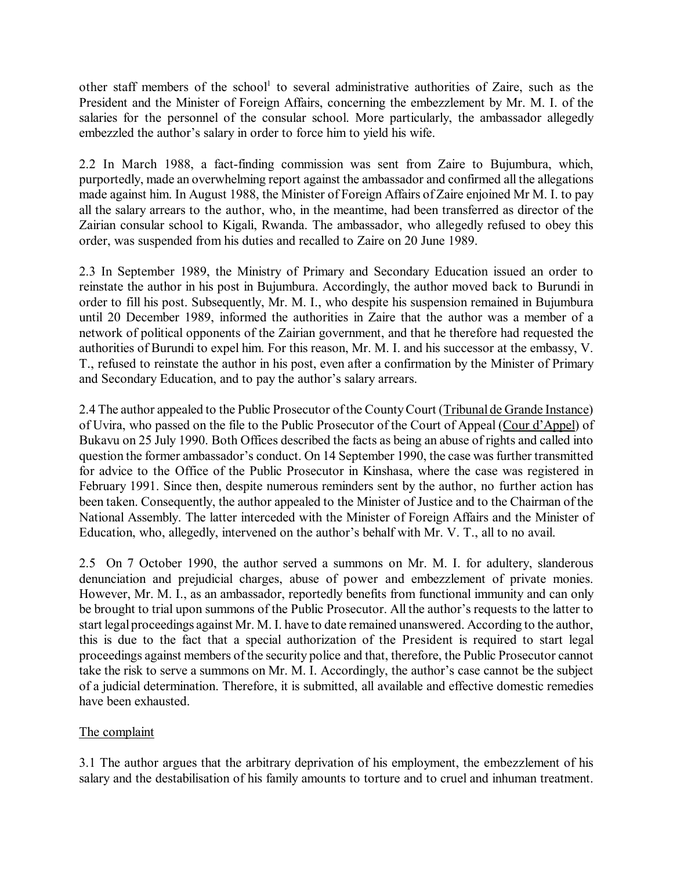other staff members of the school<sup>1</sup> to several administrative authorities of Zaire, such as the President and the Minister of Foreign Affairs, concerning the embezzlement by Mr. M. I. of the salaries for the personnel of the consular school. More particularly, the ambassador allegedly embezzled the author's salary in order to force him to yield his wife.

2.2 In March 1988, a fact-finding commission was sent from Zaire to Bujumbura, which, purportedly, made an overwhelming report against the ambassador and confirmed all the allegations made against him. In August 1988, the Minister of Foreign Affairs of Zaire enjoined Mr M. I. to pay all the salary arrears to the author, who, in the meantime, had been transferred as director of the Zairian consular school to Kigali, Rwanda. The ambassador, who allegedly refused to obey this order, was suspended from his duties and recalled to Zaire on 20 June 1989.

2.3 In September 1989, the Ministry of Primary and Secondary Education issued an order to reinstate the author in his post in Bujumbura. Accordingly, the author moved back to Burundi in order to fill his post. Subsequently, Mr. M. I., who despite his suspension remained in Bujumbura until 20 December 1989, informed the authorities in Zaire that the author was a member of a network of political opponents of the Zairian government, and that he therefore had requested the authorities of Burundi to expel him. For this reason, Mr. M. I. and his successor at the embassy, V. T., refused to reinstate the author in his post, even after a confirmation by the Minister of Primary and Secondary Education, and to pay the author's salary arrears.

2.4 The author appealed to the Public Prosecutor of the County Court (Tribunal de Grande Instance) of Uvira, who passed on the file to the Public Prosecutor of the Court of Appeal (Cour d'Appel) of Bukavu on 25 July 1990. Both Offices described the facts as being an abuse of rights and called into question the former ambassador's conduct. On 14 September 1990, the case was further transmitted for advice to the Office of the Public Prosecutor in Kinshasa, where the case was registered in February 1991. Since then, despite numerous reminders sent by the author, no further action has been taken. Consequently, the author appealed to the Minister of Justice and to the Chairman of the National Assembly. The latter interceded with the Minister of Foreign Affairs and the Minister of Education, who, allegedly, intervened on the author's behalf with Mr. V.  $T<sub>1</sub>$ , all to no avail.

2.5 On 7 October 1990, the author served a summons on Mr. M. I. for adultery, slanderous denunciation and prejudicial charges, abuse of power and embezzlement of private monies. However, Mr. M. I., as an ambassador, reportedly benefits from functional immunity and can only be brought to trial upon summons of the Public Prosecutor. All the author's requests to the latter to start legal proceedings against Mr. M. I. have to date remained unanswered. According to the author, this is due to the fact that a special authorization of the President is required to start legal proceedings against members of the security police and that, therefore, the Public Prosecutor cannot take the risk to serve a summons on Mr. M. I. Accordingly, the author's case cannot be the subject of a judicial determination. Therefore, it is submitted, all available and effective domestic remedies have been exhausted.

## The complaint

3.1 The author argues that the arbitrary deprivation of his employment, the embezzlement of his salary and the destabilisation of his family amounts to torture and to cruel and inhuman treatment.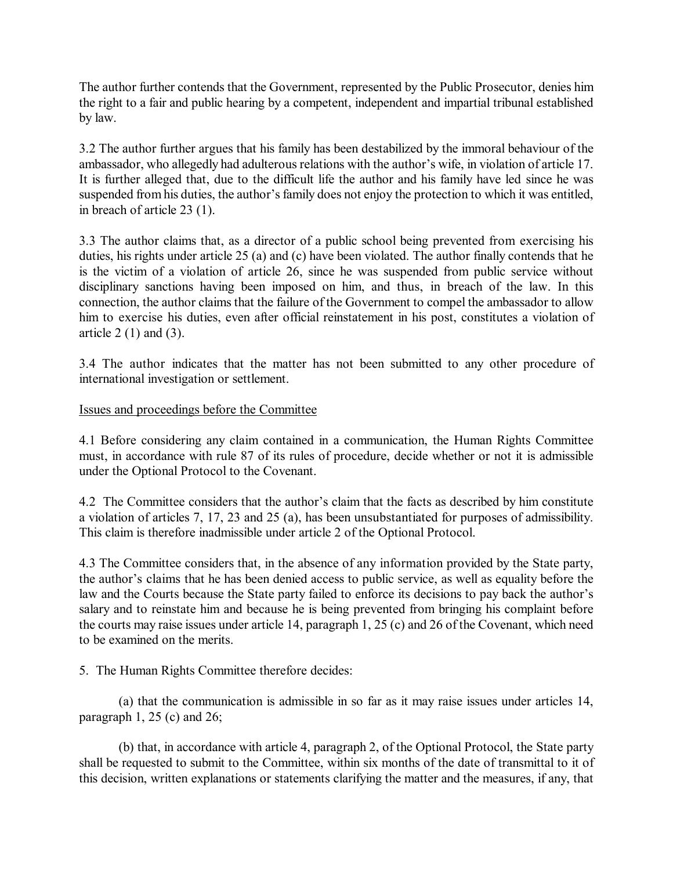The author further contends that the Government, represented by the Public Prosecutor, denies him the right to a fair and public hearing by a competent, independent and impartial tribunal established by law.

3.2 The author further argues that his family has been destabilized by the immoral behaviour of the ambassador, who allegedly had adulterous relations with the author's wife, in violation of article 17. It is further alleged that, due to the difficult life the author and his family have led since he was suspended from his duties, the author's family does not enjoy the protection to which it was entitled, in breach of article 23 (1).

3.3 The author claims that, as a director of a public school being prevented from exercising his duties, his rights under article 25 (a) and (c) have been violated. The author finally contends that he is the victim of a violation of article 26, since he was suspended from public service without disciplinary sanctions having been imposed on him, and thus, in breach of the law. In this connection, the author claims that the failure of the Government to compel the ambassador to allow him to exercise his duties, even after official reinstatement in his post, constitutes a violation of article  $2(1)$  and  $(3)$ .

3.4 The author indicates that the matter has not been submitted to any other procedure of international investigation or settlement.

Issues and proceedings before the Committee

4.1 Before considering any claim contained in a communication, the Human Rights Committee must, in accordance with rule 87 of its rules of procedure, decide whether or not it is admissible under the Optional Protocol to the Covenant.

4.2 The Committee considers that the author's claim that the facts as described by him constitute a violation of articles 7, 17, 23 and 25 (a), has been unsubstantiated for purposes of admissibility. This claim is therefore inadmissible under article 2 of the Optional Protocol.

4.3 The Committee considers that, in the absence of any information provided by the State party, the author's claims that he has been denied access to public service, as well as equality before the law and the Courts because the State party failed to enforce its decisions to pay back the author's salary and to reinstate him and because he is being prevented from bringing his complaint before the courts may raise issues under article 14, paragraph 1, 25 (c) and 26 of the Covenant, which need to be examined on the merits.

5. The Human Rights Committee therefore decides:

(a) that the communication is admissible in so far as it may raise issues under articles 14, paragraph 1, 25 (c) and 26;

(b) that, in accordance with article 4, paragraph 2, of the Optional Protocol, the State party shall be requested to submit to the Committee, within six months of the date of transmittal to it of this decision, written explanations or statements clarifying the matter and the measures, if any, that